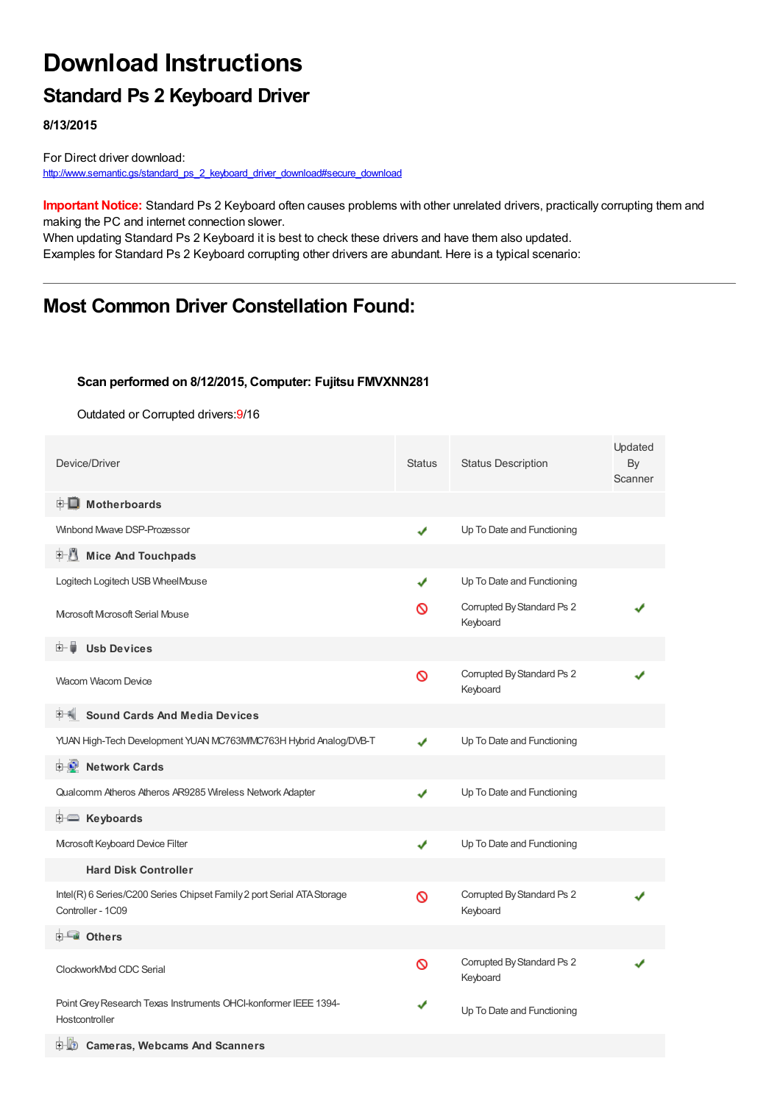# **Download Instructions**

## **Standard Ps 2 Keyboard Driver**

**8/13/2015**

For Direct driver download: [http://www.semantic.gs/standard\\_ps\\_2\\_keyboard\\_driver\\_download#secure\\_download](http://www.semantic.gs/standard_ps_2_keyboard_driver_download#secure_download)

**Important Notice:** Standard Ps 2 Keyboard often causes problems with other unrelated drivers, practically corrupting them and making the PC and internet connection slower.

When updating Standard Ps 2 Keyboard it is best to check these drivers and have them also updated. Examples for Standard Ps 2 Keyboard corrupting other drivers are abundant. Here is a typical scenario:

### **Most Common Driver Constellation Found:**

#### **Scan performed on 8/12/2015, Computer: Fujitsu FMVXNN281**

Outdated or Corrupted drivers:9/16

| Device/Driver                                                                               | <b>Status</b> | <b>Status Description</b>              | Updated<br>By<br>Scanner |
|---------------------------------------------------------------------------------------------|---------------|----------------------------------------|--------------------------|
| <b>E</b> Motherboards                                                                       |               |                                        |                          |
| Winbond Mwave DSP-Prozessor                                                                 | ✔             | Up To Date and Functioning             |                          |
| E-U<br><b>Mice And Touchpads</b>                                                            |               |                                        |                          |
| Logitech Logitech USB WheelMouse                                                            | ✔             | Up To Date and Functioning             |                          |
| Microsoft Microsoft Serial Mouse                                                            | ∾             | Corrupted By Standard Ps 2<br>Keyboard |                          |
| <b>Usb Devices</b>                                                                          |               |                                        |                          |
| Wacom Wacom Device                                                                          | Ø             | Corrupted By Standard Ps 2<br>Keyboard |                          |
| <b>Sound Cards And Media Devices</b>                                                        |               |                                        |                          |
| YUAN High-Tech Development YUAN MC763MMC763H Hybrid Analog/DVB-T                            | J             | Up To Date and Functioning             |                          |
| <b>E</b> Network Cards                                                                      |               |                                        |                          |
| Qualcomm Atheros Atheros AR9285 Wireless Network Adapter                                    | ✔             | Up To Date and Functioning             |                          |
| E Keyboards                                                                                 |               |                                        |                          |
| Mcrosoft Keyboard Device Filter                                                             | ✔             | Up To Date and Functioning             |                          |
| <b>Hard Disk Controller</b>                                                                 |               |                                        |                          |
| Intel(R) 6 Series/C200 Series Chipset Family 2 port Serial ATA Storage<br>Controller - 1C09 | $\infty$      | Corrupted By Standard Ps 2<br>Keyboard |                          |
| <b>E</b> Others                                                                             |               |                                        |                          |
| ClockworkMod CDC Serial                                                                     | Ø             | Corrupted By Standard Ps 2<br>Keyboard |                          |
| Point Grey Research Texas Instruments OHCI-konformer IEEE 1394-<br>Hostcontroller           | ✔             | Up To Date and Functioning             |                          |
| 白 40<br><b>Cameras, Webcams And Scanners</b>                                                |               |                                        |                          |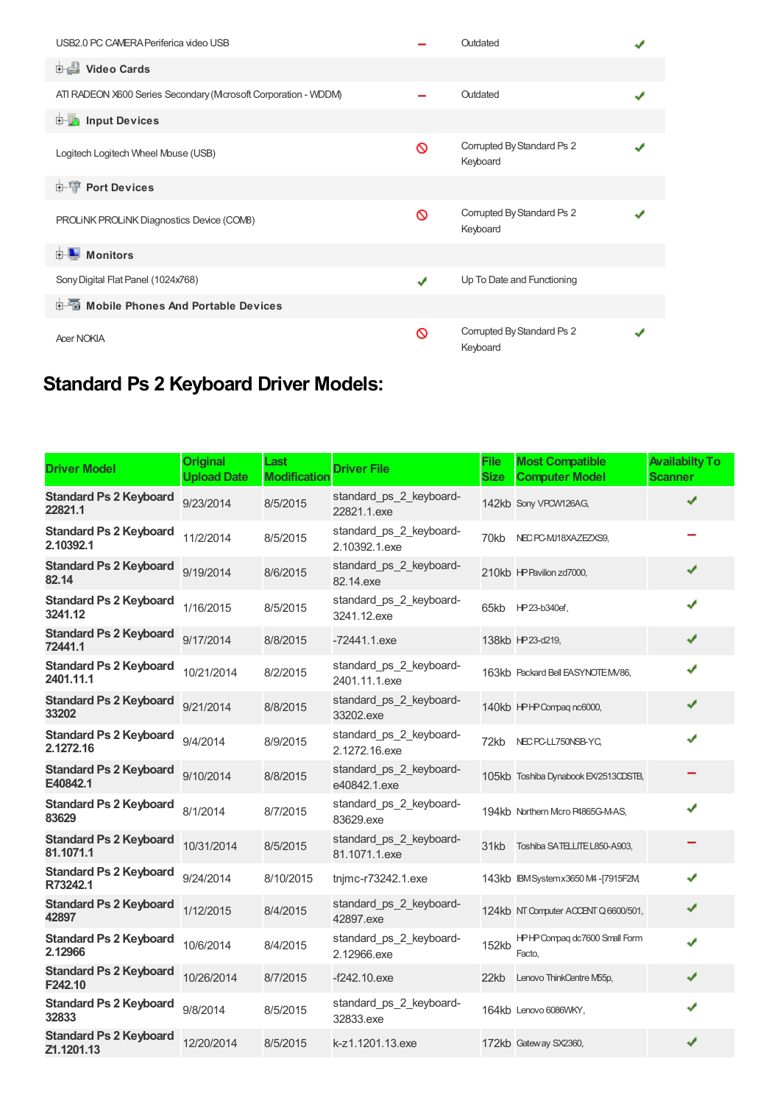| USB2.0 PC CAMERA Periferica video USB                          |   | Outdated                               |  |
|----------------------------------------------------------------|---|----------------------------------------|--|
| Video Cards                                                    |   |                                        |  |
| ATI RADEON X600 Series Secondary (Mcrosoft Corporation - WDDM) |   | Outdated                               |  |
| input Devices                                                  |   |                                        |  |
| Logitech Logitech Wheel Mouse (USB)                            | ∾ | Corrupted By Standard Ps 2<br>Keyboard |  |
| <b>E-TP</b> Port Devices                                       |   |                                        |  |
| PROLINK PROLINK Diagnostics Device (COMB)                      | ര | Corrupted By Standard Ps 2<br>Keyboard |  |
| <b>E</b> Monitors                                              |   |                                        |  |
| Sony Digital Flat Panel (1024x768)                             | ✔ | Up To Date and Functioning             |  |
| <b>E-6</b> Mobile Phones And Portable Devices                  |   |                                        |  |
| <b>Acer NOKIA</b>                                              | ര | Corrupted By Standard Ps 2<br>Keyboard |  |

# **Standard Ps 2 Keyboard Driver Models:**

| <b>Driver Model</b>                         | <b>Original</b><br><b>Upload Date</b> | Last<br><b>Modification</b> | <b>Driver File</b>                       | <b>File</b><br><b>Size</b> | <b>Most Compatible</b><br><b>Computer Model</b> | <b>Availabilty To</b><br><b>Scanner</b> |
|---------------------------------------------|---------------------------------------|-----------------------------|------------------------------------------|----------------------------|-------------------------------------------------|-----------------------------------------|
| <b>Standard Ps 2 Keyboard</b><br>22821.1    | 9/23/2014                             | 8/5/2015                    | standard_ps_2_keyboard-<br>22821.1.exe   |                            | 142kb Sony VPCW126AG,                           | ✔                                       |
| <b>Standard Ps 2 Keyboard</b><br>2.10392.1  | 11/2/2014                             | 8/5/2015                    | standard_ps_2_keyboard-<br>2.10392.1.exe | 70kb                       | NEC PC-MJ18XAZEZXS9,                            |                                         |
| <b>Standard Ps 2 Keyboard</b><br>82.14      | 9/19/2014                             | 8/6/2015                    | standard_ps_2_keyboard-<br>82.14.exe     |                            | 210kb HP Pavilion zd7000,                       | ✔                                       |
| <b>Standard Ps 2 Keyboard</b><br>3241.12    | 1/16/2015                             | 8/5/2015                    | standard_ps_2_keyboard-<br>3241.12.exe   | 65kb                       | HP23-b340ef,                                    | ✔                                       |
| <b>Standard Ps 2 Keyboard</b><br>72441.1    | 9/17/2014                             | 8/8/2015                    | $-72441.1$ .exe                          |                            | 138kb HP23-d219,                                | ✔                                       |
| <b>Standard Ps 2 Keyboard</b><br>2401.11.1  | 10/21/2014                            | 8/2/2015                    | standard_ps_2_keyboard-<br>2401.11.1.exe |                            | 163kb Packard Bell EASYNOTE M/86,               | ✔                                       |
| <b>Standard Ps 2 Keyboard</b><br>33202      | 9/21/2014                             | 8/8/2015                    | standard_ps_2_keyboard-<br>33202.exe     |                            | 140kb HPHP Compaq nc6000,                       | ✔                                       |
| <b>Standard Ps 2 Keyboard</b><br>2.1272.16  | 9/4/2014                              | 8/9/2015                    | standard_ps_2_keyboard-<br>2.1272.16.exe | 72kb                       | NEC PC-LL750NSB-YC,                             | J                                       |
| <b>Standard Ps 2 Keyboard</b><br>E40842.1   | 9/10/2014                             | 8/8/2015                    | standard ps 2 keyboard-<br>e40842.1.exe  |                            | 105kb Toshiba Dynabook EX/2513CDSTB,            |                                         |
| <b>Standard Ps 2 Keyboard</b><br>83629      | 8/1/2014                              | 8/7/2015                    | standard ps 2 keyboard-<br>83629.exe     |                            | 194kb Northern Mcro P4865G-M-AS,                | ✔                                       |
| <b>Standard Ps 2 Keyboard</b><br>81.1071.1  | 10/31/2014                            | 8/5/2015                    | standard_ps_2_keyboard-<br>81.1071.1.exe | 31kb                       | Toshiba SATELLITE L850-A903,                    |                                         |
| <b>Standard Ps 2 Keyboard</b><br>R73242.1   | 9/24/2014                             | 8/10/2015                   | tnjmc-r73242.1.exe                       |                            | 143kb IBM System x 3650 M4 - [7915F2M]          | ✔                                       |
| <b>Standard Ps 2 Keyboard</b><br>42897      | 1/12/2015                             | 8/4/2015                    | standard ps 2 keyboard-<br>42897.exe     |                            | 124kb NT Computer ACCENT Q 6600/501,            | ✔                                       |
| <b>Standard Ps 2 Keyboard</b><br>2.12966    | 10/6/2014                             | 8/4/2015                    | standard_ps_2_keyboard-<br>2.12966.exe   | 152kb                      | HPHP Compaq dc7600 Small Form<br>Facto.         | ✔                                       |
| <b>Standard Ps 2 Keyboard</b><br>F242.10    | 10/26/2014                            | 8/7/2015                    | $-f242.10$ .exe                          | 22kb                       | Lenovo ThinkCentre M55p,                        | ✔                                       |
| <b>Standard Ps 2 Keyboard</b><br>32833      | 9/8/2014                              | 8/5/2015                    | standard_ps_2_keyboard-<br>32833.exe     |                            | 164kb Lenovo 6086WKY,                           | ✔                                       |
| <b>Standard Ps 2 Keyboard</b><br>Z1.1201.13 | 12/20/2014                            | 8/5/2015                    | k-z1.1201.13.exe                         |                            | 172kb Gateway SX2360,                           | ✔                                       |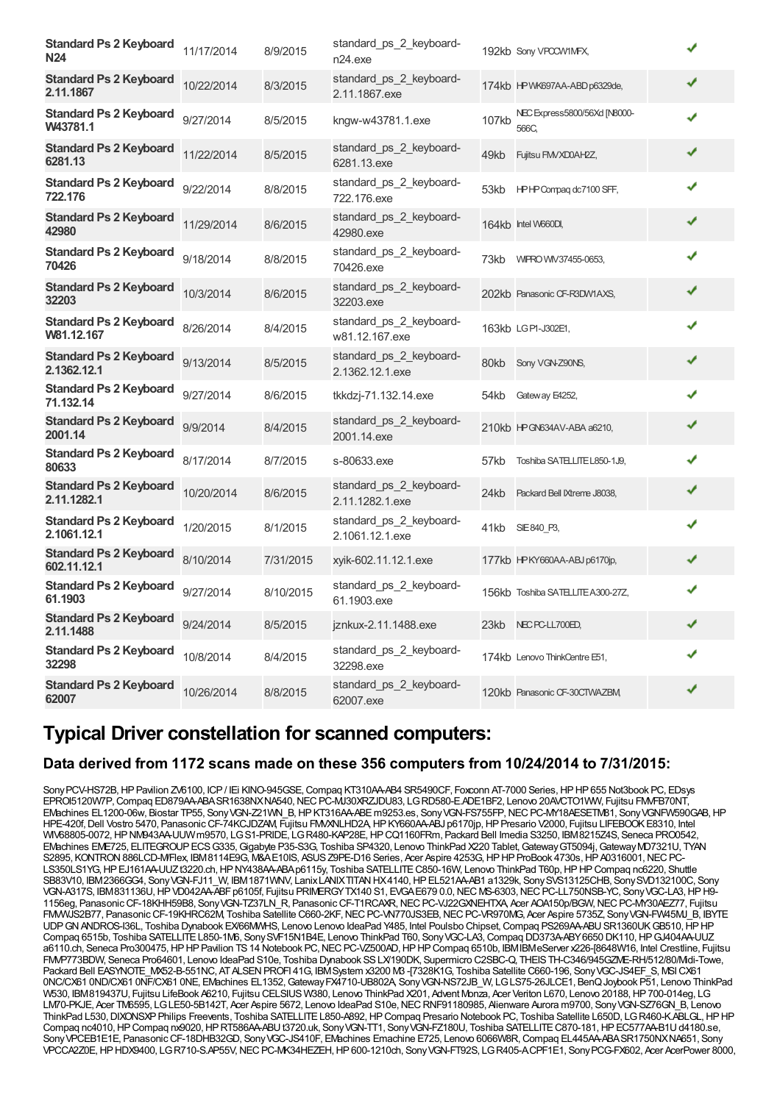| <b>Standard Ps 2 Keyboard</b><br><b>N24</b>  | 11/17/2014 | 8/9/2015  | standard_ps_2_keyboard-<br>n24.exe         |       | 192kb Sony VPCCW1MFX,                |   |  |
|----------------------------------------------|------------|-----------|--------------------------------------------|-------|--------------------------------------|---|--|
| <b>Standard Ps 2 Keyboard</b><br>2.11.1867   | 10/22/2014 | 8/3/2015  | standard_ps_2_keyboard-<br>2.11.1867.exe   |       | 174kb HP WK697AA-ABD p6329de,        | ✔ |  |
| <b>Standard Ps 2 Keyboard</b><br>W43781.1    | 9/27/2014  | 8/5/2015  | kngw-w43781.1.exe                          | 107kb | NEC Express5800/56Xd [N8000-<br>566C | ✔ |  |
| <b>Standard Ps 2 Keyboard</b><br>6281.13     | 11/22/2014 | 8/5/2015  | standard_ps_2_keyboard-<br>6281.13.exe     | 49kb  | Fujitsu FMVXD0AH2Z,                  | ✔ |  |
| <b>Standard Ps 2 Keyboard</b><br>722.176     | 9/22/2014  | 8/8/2015  | standard_ps_2_keyboard-<br>722.176.exe     |       | 53kb HPHP Compag dc7100 SFF,         | ✔ |  |
| <b>Standard Ps 2 Keyboard</b><br>42980       | 11/29/2014 | 8/6/2015  | standard ps 2 keyboard-<br>42980.exe       |       | 164kb Intel W660DI,                  | ✔ |  |
| <b>Standard Ps 2 Keyboard</b><br>70426       | 9/18/2014  | 8/8/2015  | standard_ps_2_keyboard-<br>70426.exe       | 73kb  | WIPRO WIV37455-0653,                 | ✔ |  |
| <b>Standard Ps 2 Keyboard</b><br>32203       | 10/3/2014  | 8/6/2015  | standard ps 2 keyboard-<br>32203.exe       |       | 202kb Panasonic CF-R3DW1AXS,         | ✔ |  |
| <b>Standard Ps 2 Keyboard</b><br>W81.12.167  | 8/26/2014  | 8/4/2015  | standard ps 2 keyboard-<br>w81.12.167.exe  |       | 163kb LGPI-J302E1,                   | ✔ |  |
| <b>Standard Ps 2 Keyboard</b><br>2.1362.12.1 | 9/13/2014  | 8/5/2015  | standard_ps_2_keyboard-<br>2.1362.12.1.exe | 80kb  | Sony VGN-Z90NS,                      | ✔ |  |
| <b>Standard Ps 2 Keyboard</b><br>71.132.14   | 9/27/2014  | 8/6/2015  | tkkdzj-71.132.14.exe                       | 54kb  | Gateway E4252,                       | ✔ |  |
| <b>Standard Ps 2 Keyboard</b><br>2001.14     | 9/9/2014   | 8/4/2015  | standard ps 2 keyboard-<br>2001.14.exe     |       | 210kb HP GN634AV-ABA a6210,          | ✔ |  |
| <b>Standard Ps 2 Keyboard</b><br>80633       | 8/17/2014  | 8/7/2015  | s-80633, exe                               | 57kb  | Toshiba SATELLITE L850-1J9,          | ✔ |  |
| <b>Standard Ps 2 Keyboard</b><br>2.11.1282.1 | 10/20/2014 | 8/6/2015  | standard_ps_2_keyboard-<br>2.11.1282.1.exe | 24kb  | Packard Bell IXtreme J8038,          | ✔ |  |
| <b>Standard Ps 2 Keyboard</b><br>2.1061.12.1 | 1/20/2015  | 8/1/2015  | standard_ps_2_keyboard-<br>2.1061.12.1.exe | 41kb  | SIE 840 P3,                          | ✔ |  |
| <b>Standard Ps 2 Keyboard</b><br>602.11.12.1 | 8/10/2014  | 7/31/2015 | xyik-602.11.12.1.exe                       |       | 177kb HPKY660AA-ABJ p6170jp,         | ✔ |  |
| <b>Standard Ps 2 Keyboard</b><br>61.1903     | 9/27/2014  | 8/10/2015 | standard_ps_2_keyboard-<br>61.1903.exe     |       | 156kb Toshiba SATELLITE A300-27Z,    | ✔ |  |
| <b>Standard Ps 2 Keyboard</b><br>2.11.1488   | 9/24/2014  | 8/5/2015  | jznkux-2.11.1488.exe                       | 23kb  | NEC PC-LL700ED,                      | ✔ |  |
| <b>Standard Ps 2 Keyboard</b><br>32298       | 10/8/2014  | 8/4/2015  | standard_ps_2_keyboard-<br>32298.exe       |       | 174kb Lenovo ThinkCentre E51,        | ✔ |  |
| <b>Standard Ps 2 Keyboard</b><br>62007       | 10/26/2014 | 8/8/2015  | standard ps 2 keyboard-<br>62007.exe       |       | 120kb Panasonic CF-30CTWAZBM,        | √ |  |

### **Typical Driver constellation for scanned computers:**

### **Data derived from 1172 scans made on these 356 computers from 10/24/2014 to 7/31/2015:**

SonyPCV-HS72B, HP Pavilion ZV6100, ICP / IEi KINO-945GSE, Compaq KT310AA-AB4 SR5490CF, Foxconn AT-7000 Series, HP HP 655 Not3book PC, EDsys EPROI5120W7P, Compaq ED879AA-ABA SR1638NXNA540, NEC PC-MJ30XRZJDU83, LGRD580-E.ADE1BF2, Lenovo 20AVCTO1WW, Fujitsu FMVFB70NT, EMachines EL1200-06w, Biostar TP55, SonyVGN-Z21WN\_B,HPKT316AA-ABEm9253.es, SonyVGN-FS755FP,NECPC-MY18AESETM81, SonyVGNFW590GAB,HP HPE-420f,Dell Vostro 5470, PanasonicCF-74KCJDZAM, Fujitsu FMVXNLHD2A,HPKY660AA-ABJ p6170jp,HPPresario V2000, Fujitsu LIFEBOOKE8310, Intel WV68805-0072, HP NW943AA-UUW m9570, LG S1-PRIDE, LG R480-KAP28E, HP CQ1160FRm, Packard Bell Imedia S3250, IBM8215Z4S, Seneca PRO0542, EMachines EME725, ELITEGROUPECSG335,Gigabyte P35-S3G, Toshiba SP4320, Lenovo ThinkPad X220 Tablet,GatewayGT5094j,GatewayMD7321U, TYAN S2895, KONTRON 886LCD-M/Flex, IBM8114E9G, M&AE10IS, ASUS Z9PE-D16 Series, Acer Aspire 4253G, HP HP ProBook 4730s, HP A0316001, NEC PC-LS350LS1YG, HP EJ161AA-UUZt3220.ch, HP NY438AA-ABA p6115y, Toshiba SATELLITE C850-16W, Lenovo ThinkPad T60p, HP HP Compaq nc6220, Shuttle SB83V10, IBM2366GG4, SonyVGN-FJ11\_W, IBM1871WNV, LanixLANIXTITANHX4140,HPEL521AA-AB1 a1329k, SonySVS13125CHB, SonySVD132100C, Sony VGN-A317S, IBM831136U, HP VD042AA-ABF p6105f, Fujitsu PRIMERGYTX140 S1, EVGA E679 0.0, NEC MS-6303, NEC PC-LL750NSB-YC, Sony VGC-LA3, HP H9-1156eg, PanasonicCF-18KHH59B8, SonyVGN-TZ37LN\_R, PanasonicCF-T1RCAXR,NECPC-VJ22GXNEHTXA, Acer AOA150p/BGW,NECPC-MY30AEZ77, Fujitsu TROUS CRIMING ON THE PRESENT CONTROLLED THE REGISTION OF CHANGING AND TO DELIGIOUS CONTROLLING TO A SPIRE STRIS<br>FIMMUS2B77, Panasonic CF-19KHRC62M, Toshiba Satellite C660-2KF, NEC PC-VN770JS3EB, NEC PC-VR970MG, Acer Aspire UDP GN ANDROS-I36L, Toshiba Dynabook EX/66MMHS, Lenovo Lenovo IdeaPad Y485, Intel Poulsbo Chipset, Compaq PS269AA-ABU SR1360UKGB510, HP HP Compaq 6515b, Toshiba SATELLITEL850-1M6, SonySVF15N1B4E, Lenovo ThinkPad T60, SonyVGC-LA3,Compaq DD373A-ABY6650 DK110,HPGJ404AA-UUZ a6110.ch, Seneca Pro300475,HPHPPavilion TS14 Notebook PC,NECPC-VZ500AD,HPHPCompaq 6510b, IBMIBMeServer x226-[8648W16, Intel Crestline, Fujitsu FMP773BDW, Seneca Pro64601, Lenovo IdeaPad S10e, Toshiba Dynabook SS LX/190DK, Supermicro C2SBC-Q, THEIS TH-C346/945GZME-RH/512/80/Mdi-Towe, Packard Bell EASYNOTE\_MX52-B-551NC, AT ALSEN PROFI 41G, IBM System x3200 M3 -17328K1G, Toshiba Satellite C660-196, Sony VGC-JS4EF\_S, MSICX61 0NC/CX61 0ND/CX61 0NF/CX61 0NE, EMachines EL1352,GatewayFX4710-UB802A, SonyVGN-NS72JB\_W, LGLS75-26JLCE1, BenQJoybook P51, Lenovo ThinkPad W530, IBM819437U, Fujitsu LifeBook A6210, Fujitsu CELSIUS W380, Lenovo ThinkPad X201, Advent Monza, Acer Veriton L670, Lenovo 20188,HP700-014eg, LG LM70-PKJE, Acer TM6595, LGLE50-5B142T, Acer Aspire 5672, Lenovo IdeaPad S10e,NECRNF91180985, Alienware Aurora m9700, SonyVGN-SZ76GN\_B, Lenovo ThinkPad L530, DIXONSXP Philips Freevents, Toshiba SATELLITE L850-A892, HP Compaq Presario Notebook PC, Toshiba Satellite L650D, LG R460-K.ABLGL, HP HP Compaq nc4010, HP Compaq nx9020, HP RT586AA-ABU t3720.uk, Sony VGN-TT1, Sony VGN-FZ180U, Toshiba SATELLITE C870-181, HP EC577AA-B1U d4180.se, SonyVPCEB1E1E, PanasonicCF-18DHB32GD, SonyVGC-JS410F, EMachines Emachine E725, Lenovo 6066W8R,Compaq EL445AA-ABASR1750NXNA651, Sony VPCCA2Z0E,HPHDX9400, LGR710-S.AP55V,NECPC-MK34HEZEH,HP600-1210ch, SonyVGN-FT92S, LGR405-A.CPF1E1, SonyPCG-FX602, Acer AcerPower 8000,